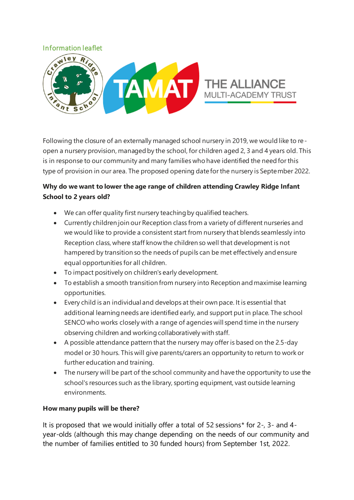### Information leaflet



Following the closure of an externally managed school nursery in 2019, we would like to reopen a nursery provision, managed by the school, for children aged 2, 3 and 4 years old. This is in response to our community and many families who have identified the need for this type of provision in our area. The proposed opening date for the nursery is September 2022.

# **Why do we want to lower the age range of children attending Crawley Ridge Infant School to 2 years old?**

- We can offer quality first nursery teaching by qualified teachers.
- Currently children join our Reception class from a variety of different nurseries and we would like to provide a consistent start from nursery that blends seamlessly into Reception class, where staff know the children so well that development is not hampered by transition so the needs of pupils can be met effectively and ensure equal opportunities for all children.
- To impact positively on children's early development.
- To establish a smooth transition from nursery into Reception and maximise learning opportunities.
- Every child is an individual and develops at their own pace. It is essential that additional learning needs are identified early, and support put in place. The school SENCO who works closely with a range of agencies will spend time in the nursery observing children and working collaboratively with staff.
- A possible attendance pattern that the nursery may offer is based on the 2.5-day model or 30 hours. This will give parents/carers an opportunity to return to work or further education and training.
- The nursery will be part of the school community and have the opportunity to use the school's resources such as the library, sporting equipment, vast outside learning environments.

# **How many pupils will be there?**

It is proposed that we would initially offer a total of 52 sessions\* for 2-, 3- and 4 year-olds (although this may change depending on the needs of our community and the number of families entitled to 30 funded hours) from September 1st, 2022.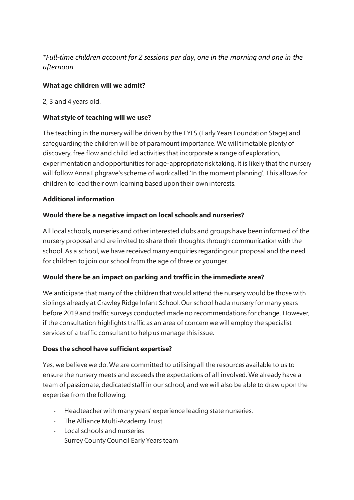*\*Full-time children account for 2 sessions per day, one in the morning and one in the afternoon.* 

### **What age children will we admit?**

2, 3 and 4 years old.

### **What style of teaching will we use?**

The teaching in the nursery will be driven by the EYFS (Early Years Foundation Stage) and safeguarding the children will be of paramount importance. We will timetable plenty of discovery, free flow and child led activities that incorporate a range of exploration, experimentation and opportunities for age-appropriate risk taking. It is likely that the nursery will follow Anna Ephgrave's scheme of work called 'In the moment planning'. This allows for children to lead their own learning based upon their own interests.

### **Additional information**

### **Would there be a negative impact on local schools and nurseries?**

All local schools, nurseries and other interested clubs and groups have been informed of the nursery proposal and are invited to share their thoughts through communication with the school. As a school, we have received many enquiries regarding our proposal and the need for children to join our school from the age of three or younger.

#### **Would there be an impact on parking and traffic in the immediate area?**

We anticipate that many of the children that would attend the nursery would be those with siblings already at Crawley Ridge Infant School. Our school had a nursery for many years before 2019 and traffic surveys conducted made no recommendations for change. However, if the consultation highlights traffic as an area of concern we will employ the specialist services of a traffic consultant to help us manage this issue.

#### **Does the school have sufficient expertise?**

Yes, we believe we do. We are committed to utilising all the resources available to us to ensure the nursery meets and exceeds the expectations of all involved. We already have a team of passionate, dedicated staff in our school, and we will also be able to draw upon the expertise from the following:

- Headteacher with many years' experience leading state nurseries.
- The Alliance Multi-Academy Trust
- Local schools and nurseries
- Surrey County Council Early Years team